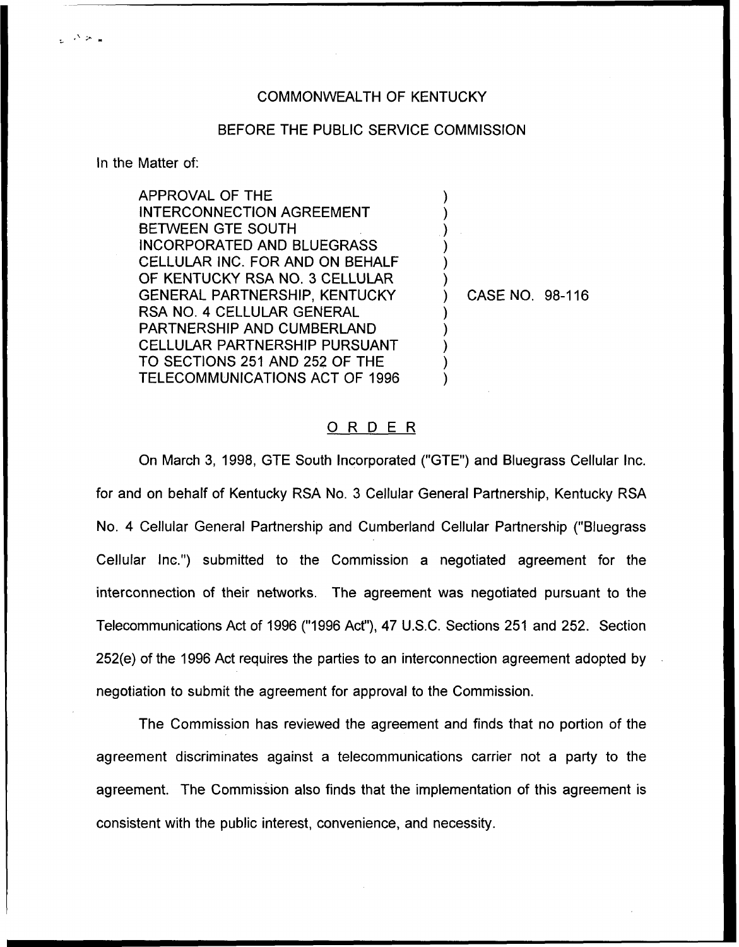## COMMONWEALTH OF KENTUCKY

## BEFORE THE PUBLIC SERVICE COMMISSION

) ) ) ) ) )

) ) ) ) )

In the Matter of:

APPROVAL OF THE INTERCONNECTION AGREEMENT BETWEEN GTE SOUTH INCORPORATED AND BLUEGRASS CELLULAR INC. FOR AND ON BEHALF OF KENTUCKY RSA NO. 3 CELLULAR GENERAL PARTNERSHIP, KENTUCKY RSA NO. 4 CELLULAR GENERAL PARTNERSHIP AND CUMBERLAND CELLULAR PARTNERSHIP PURSUANT TO SECTIONS 251 AND 252 OF THE TELECOMMUNICATIONS ACT OF 1996

) CASE NO. 98-116

## ORDER

On March 3, 1998, GTE South Incorporated ("GTE") and Bluegrass Cellular Inc. for and on behalf of Kentucky RSA No. 3 Cellular General Partnership, Kentucky RSA No. 4 Cellular General Partnership and Cumberland Cellular Partnership ("Bluegrass Cellular Inc.") submitted to the Commission a negotiated agreement for the interconnection of their networks. The agreement was negotiated pursuant to the Telecommunications Act of 1996 ("1996 Act"), 47 U.S.C. Sections 251 and 252. Section 252(e) of the 1996 Act requires the parties to an interconnection agreement adopted by negotiation to submit the agreement for approval to the Commission.

The Commission has reviewed the agreement and finds that no portion of the agreement discriminates against a telecommunications carrier not a party to the agreement. The Commission also finds that the implementation of this agreement is consistent with the public interest, convenience, and necessity.